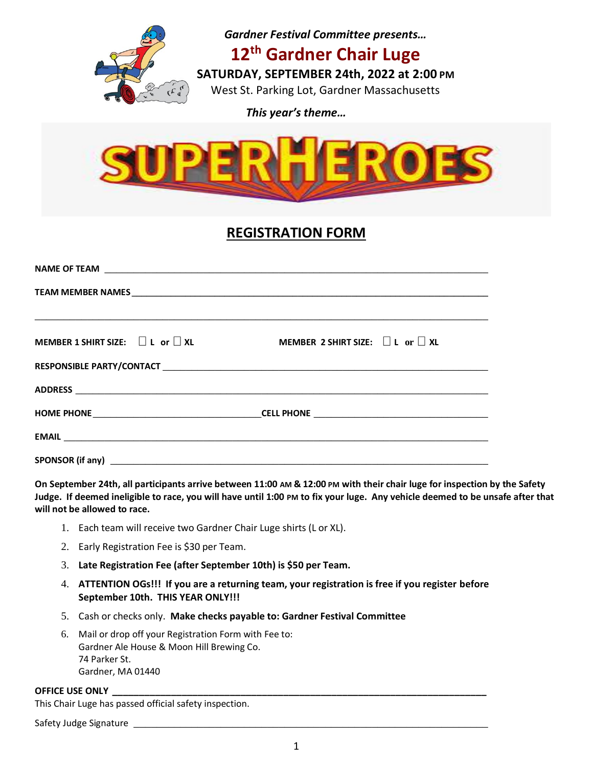

*This year's theme…*



# **REGISTRATION FORM**

|                                            | <u>,这就是这个人的人,我们就是这个人的人,我们就是这个人的人,我们就是这个人的人,我们就是这个人的人,我们就是这个人的人,我们就是这个人的人,我们就是</u> |
|--------------------------------------------|-----------------------------------------------------------------------------------|
| MEMBER 1 SHIRT SIZE: $\Box$ L or $\Box$ XL | MEMBER 2 SHIRT SIZE: $\Box$ L $\text{or} \Box$ XL                                 |
|                                            |                                                                                   |
|                                            |                                                                                   |
|                                            |                                                                                   |
|                                            |                                                                                   |
|                                            |                                                                                   |

**On September 24th, all participants arrive between 11:00 AM & 12:00 PM with their chair luge for inspection by the Safety Judge. If deemed ineligible to race, you will have until 1:00 PM to fix your luge. Any vehicle deemed to be unsafe after that will not be allowed to race.** 

- 1. Each team will receive two Gardner Chair Luge shirts (L or XL).
- 2. Early Registration Fee is \$30 per Team.
- 3. **Late Registration Fee (after September 10th) is \$50 per Team.**
- 4. **ATTENTION OGs!!! If you are a returning team, your registration is free if you register before September 10th. THIS YEAR ONLY!!!**
- 5. Cash or checks only. **Make checks payable to: Gardner Festival Committee**
- 6. Mail or drop off your Registration Form with Fee to: Gardner Ale House & Moon Hill Brewing Co. 74 Parker St. Gardner, MA 01440

#### **OFFICE USE ONLY \_\_\_\_\_\_\_\_\_\_\_\_\_\_\_\_\_\_\_\_\_\_\_\_\_\_\_\_\_\_\_\_\_\_\_\_\_\_\_\_\_\_\_\_\_\_\_\_\_\_\_\_\_\_\_\_\_\_\_\_\_\_\_\_\_\_\_\_\_\_**

This Chair Luge has passed official safety inspection.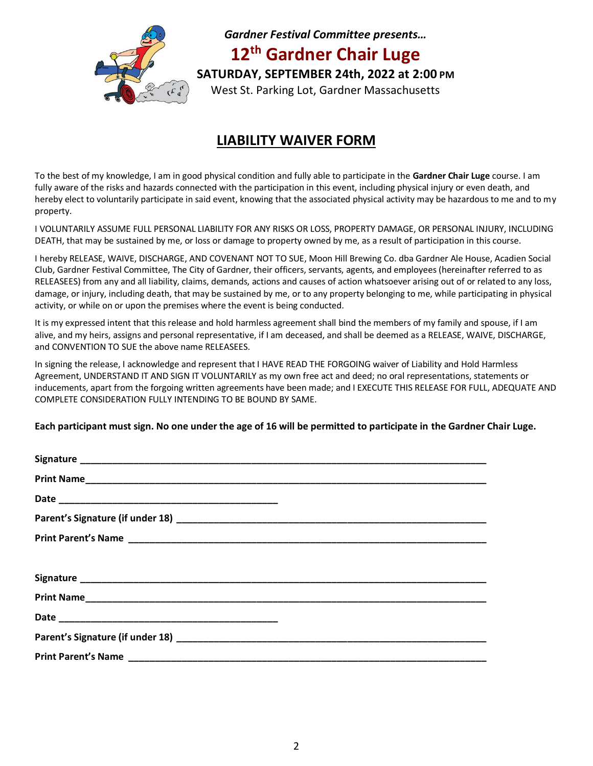

*Gardner Festival Committee presents…* **12 th Gardner Chair Luge SATURDAY, SEPTEMBER 24th, 2022 at 2:00 PM** West St. Parking Lot, Gardner Massachusetts

### **LIABILITY WAIVER FORM**

To the best of my knowledge, I am in good physical condition and fully able to participate in the **Gardner Chair Luge** course. I am fully aware of the risks and hazards connected with the participation in this event, including physical injury or even death, and hereby elect to voluntarily participate in said event, knowing that the associated physical activity may be hazardous to me and to my property.

I VOLUNTARILY ASSUME FULL PERSONAL LIABILITY FOR ANY RISKS OR LOSS, PROPERTY DAMAGE, OR PERSONAL INJURY, INCLUDING DEATH, that may be sustained by me, or loss or damage to property owned by me, as a result of participation in this course.

I hereby RELEASE, WAIVE, DISCHARGE, AND COVENANT NOT TO SUE, Moon Hill Brewing Co. dba Gardner Ale House, Acadien Social Club, Gardner Festival Committee, The City of Gardner, their officers, servants, agents, and employees (hereinafter referred to as RELEASEES) from any and all liability, claims, demands, actions and causes of action whatsoever arising out of or related to any loss, damage, or injury, including death, that may be sustained by me, or to any property belonging to me, while participating in physical activity, or while on or upon the premises where the event is being conducted.

It is my expressed intent that this release and hold harmless agreement shall bind the members of my family and spouse, if I am alive, and my heirs, assigns and personal representative, if I am deceased, and shall be deemed as a RELEASE, WAIVE, DISCHARGE, and CONVENTION TO SUE the above name RELEASEES.

In signing the release, I acknowledge and represent that I HAVE READ THE FORGOING waiver of Liability and Hold Harmless Agreement, UNDERSTAND IT AND SIGN IT VOLUNTARILY as my own free act and deed; no oral representations, statements or inducements, apart from the forgoing written agreements have been made; and I EXECUTE THIS RELEASE FOR FULL, ADEQUATE AND COMPLETE CONSIDERATION FULLY INTENDING TO BE BOUND BY SAME.

**Each participant must sign. No one under the age of 16 will be permitted to participate in the Gardner Chair Luge.**